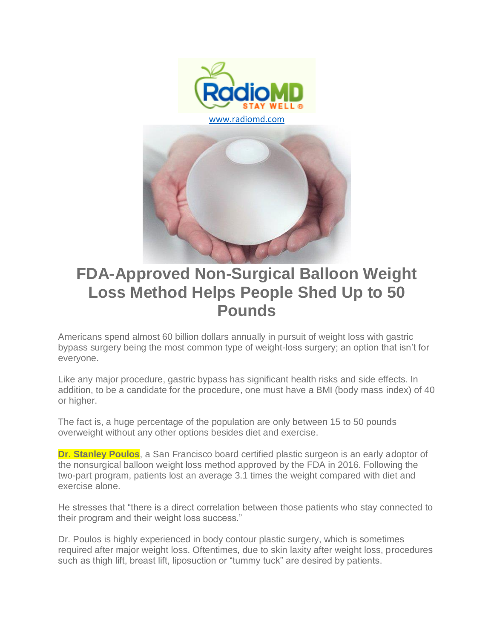

# **FDA-Approved Non-Surgical Balloon Weight Loss Method Helps People Shed Up to 50 Pounds**

Americans spend almost 60 billion dollars annually in pursuit of weight loss with gastric bypass surgery being the most common type of weight-loss surgery; an option that isn't for everyone.

Like any major procedure, gastric bypass has significant health risks and side effects. In addition, to be a candidate for the procedure, one must have a BMI (body mass index) of 40 or higher.

The fact is, a huge percentage of the population are only between 15 to 50 pounds overweight without any other options besides diet and exercise.

**Dr. Stanley Poulos**, a San Francisco board certified plastic surgeon is an early adoptor of the nonsurgical balloon weight loss method approved by the FDA in 2016. Following the two-part program, patients lost an average 3.1 times the weight compared with diet and exercise alone.

He stresses that "there is a direct correlation between those patients who stay connected to their program and their weight loss success."

Dr. Poulos is highly experienced in body contour plastic surgery, which is sometimes required after major weight loss. Oftentimes, due to skin laxity after weight loss, procedures such as thigh lift, breast lift, liposuction or "tummy tuck" are desired by patients.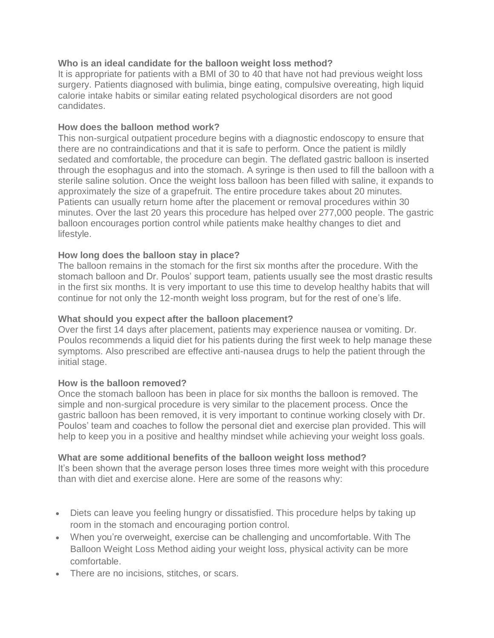## **Who is an ideal candidate for the balloon weight loss method?**

It is appropriate for patients with a BMI of 30 to 40 that have not had previous weight loss surgery. Patients diagnosed with bulimia, binge eating, compulsive overeating, high liquid calorie intake habits or similar eating related psychological disorders are not good candidates.

## **How does the balloon method work?**

This non-surgical outpatient procedure begins with a diagnostic endoscopy to ensure that there are no contraindications and that it is safe to perform. Once the patient is mildly sedated and comfortable, the procedure can begin. The deflated gastric balloon is inserted through the esophagus and into the stomach. A syringe is then used to fill the balloon with a sterile saline solution. Once the weight loss balloon has been filled with saline, it expands to approximately the size of a grapefruit. The entire procedure takes about 20 minutes. Patients can usually return home after the placement or removal procedures within 30 minutes. Over the last 20 years this procedure has helped over 277,000 people. The gastric balloon encourages portion control while patients make healthy changes to diet and lifestyle.

## **How long does the balloon stay in place?**

The balloon remains in the stomach for the first six months after the procedure. With the stomach balloon and Dr. Poulos' support team, patients usually see the most drastic results in the first six months. It is very important to use this time to develop healthy habits that will continue for not only the 12-month weight loss program, but for the rest of one's life.

## **What should you expect after the balloon placement?**

Over the first 14 days after placement, patients may experience nausea or vomiting. Dr. Poulos recommends a liquid diet for his patients during the first week to help manage these symptoms. Also prescribed are effective anti-nausea drugs to help the patient through the initial stage.

### **How is the balloon removed?**

Once the stomach balloon has been in place for six months the balloon is removed. The simple and non-surgical procedure is very similar to the placement process. Once the gastric balloon has been removed, it is very important to continue working closely with Dr. Poulos' team and coaches to follow the personal diet and exercise plan provided. This will help to keep you in a positive and healthy mindset while achieving your weight loss goals.

### **What are some additional benefits of the balloon weight loss method?**

It's been shown that the average person loses three times more weight with this procedure than with diet and exercise alone. Here are some of the reasons why:

- Diets can leave you feeling hungry or dissatisfied. This procedure helps by taking up room in the stomach and encouraging portion control.
- When you're overweight, exercise can be challenging and uncomfortable. With The Balloon Weight Loss Method aiding your weight loss, physical activity can be more comfortable.
- There are no incisions, stitches, or scars.